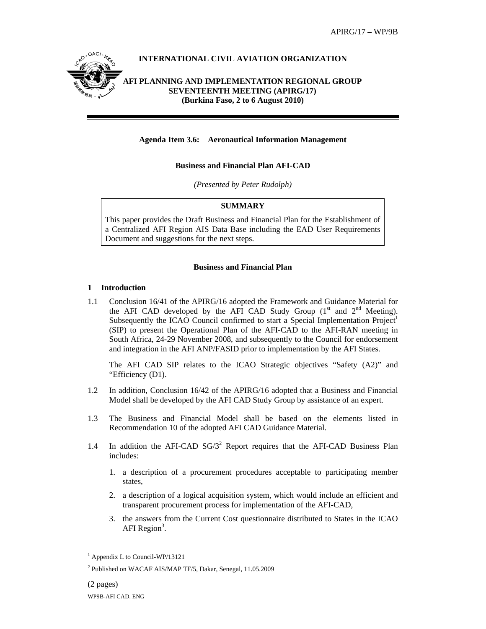

### **Agenda Item 3.6: Aeronautical Information Management**

### **Business and Financial Plan AFI-CAD**

*(Presented by Peter Rudolph)* 

#### **SUMMARY**

This paper provides the Draft Business and Financial Plan for the Establishment of a Centralized AFI Region AIS Data Base including the EAD User Requirements Document and suggestions for the next steps.

#### **Business and Financial Plan**

#### **1 Introduction**

1.1 Conclusion 16/41 of the APIRG/16 adopted the Framework and Guidance Material for the AFI CAD developed by the AFI CAD Study Group  $(1<sup>st</sup>$  and  $2<sup>nd</sup>$  Meeting). Subsequently the ICAO Council confirmed to start a Special Implementation  $Project<sup>1</sup>$ (SIP) to present the Operational Plan of the AFI-CAD to the AFI-RAN meeting in South Africa, 24-29 November 2008, and subsequently to the Council for endorsement and integration in the AFI ANP/FASID prior to implementation by the AFI States.

The AFI CAD SIP relates to the ICAO Strategic objectives "Safety (A2)" and "Efficiency (D1).

- 1.2 In addition, Conclusion 16/42 of the APIRG/16 adopted that a Business and Financial Model shall be developed by the AFI CAD Study Group by assistance of an expert.
- 1.3 The Business and Financial Model shall be based on the elements listed in Recommendation 10 of the adopted AFI CAD Guidance Material.
- 1.4 In addition the AFI-CAD  $SG/3^2$  Report requires that the AFI-CAD Business Plan includes:
	- 1. a description of a procurement procedures acceptable to participating member states,
	- 2. a description of a logical acquisition system, which would include an efficient and transparent procurement process for implementation of the AFI-CAD,
	- 3. the answers from the Current Cost questionnaire distributed to States in the ICAO AFI Region<sup>3</sup>.

 $\overline{a}$ 

<sup>1</sup> Appendix L to Council-WP/13121

<sup>2</sup> Published on WACAF AIS/MAP TF/5, Dakar, Senegal, 11.05.2009